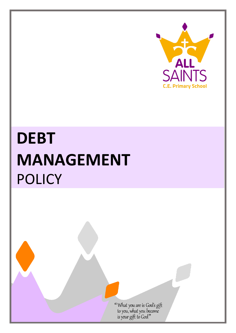

## **DEBT MANAGEMENT** POLICY

"What you are is God's gift<br>to you, what you become<br>is your gift to God"